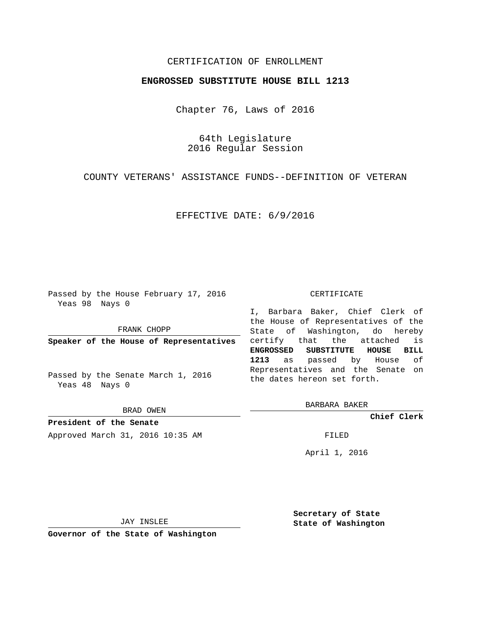## CERTIFICATION OF ENROLLMENT

## **ENGROSSED SUBSTITUTE HOUSE BILL 1213**

Chapter 76, Laws of 2016

64th Legislature 2016 Regular Session

COUNTY VETERANS' ASSISTANCE FUNDS--DEFINITION OF VETERAN

EFFECTIVE DATE: 6/9/2016

Passed by the House February 17, 2016 Yeas 98 Nays 0

FRANK CHOPP

**Speaker of the House of Representatives**

Passed by the Senate March 1, 2016 Yeas 48 Nays 0

BRAD OWEN

**President of the Senate** Approved March 31, 2016 10:35 AM FILED

## CERTIFICATE

I, Barbara Baker, Chief Clerk of the House of Representatives of the State of Washington, do hereby certify that the attached is **ENGROSSED SUBSTITUTE HOUSE BILL 1213** as passed by House of Representatives and the Senate on the dates hereon set forth.

BARBARA BAKER

**Chief Clerk**

April 1, 2016

JAY INSLEE

**Governor of the State of Washington**

**Secretary of State State of Washington**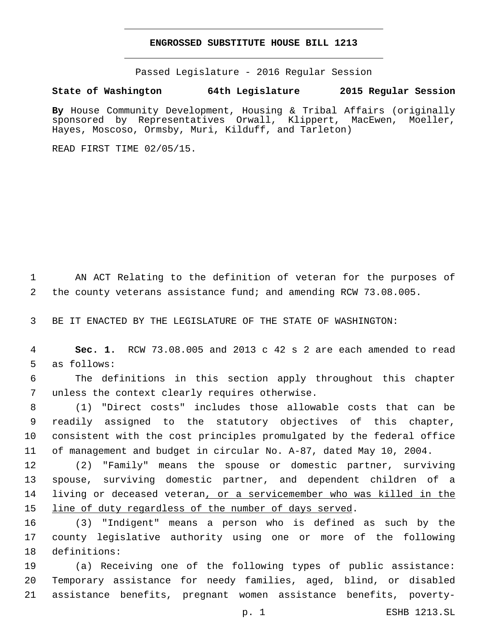## **ENGROSSED SUBSTITUTE HOUSE BILL 1213**

Passed Legislature - 2016 Regular Session

**State of Washington 64th Legislature 2015 Regular Session**

**By** House Community Development, Housing & Tribal Affairs (originally sponsored by Representatives Orwall, Klippert, MacEwen, Moeller, Hayes, Moscoso, Ormsby, Muri, Kilduff, and Tarleton)

READ FIRST TIME 02/05/15.

 AN ACT Relating to the definition of veteran for the purposes of the county veterans assistance fund; and amending RCW 73.08.005.

BE IT ENACTED BY THE LEGISLATURE OF THE STATE OF WASHINGTON:

 **Sec. 1.** RCW 73.08.005 and 2013 c 42 s 2 are each amended to read 5 as follows:

 The definitions in this section apply throughout this chapter 7 unless the context clearly requires otherwise.

 (1) "Direct costs" includes those allowable costs that can be readily assigned to the statutory objectives of this chapter, consistent with the cost principles promulgated by the federal office of management and budget in circular No. A-87, dated May 10, 2004.

 (2) "Family" means the spouse or domestic partner, surviving spouse, surviving domestic partner, and dependent children of a living or deceased veteran, or a servicemember who was killed in the line of duty regardless of the number of days served.

 (3) "Indigent" means a person who is defined as such by the county legislative authority using one or more of the following 18 definitions:

 (a) Receiving one of the following types of public assistance: Temporary assistance for needy families, aged, blind, or disabled assistance benefits, pregnant women assistance benefits, poverty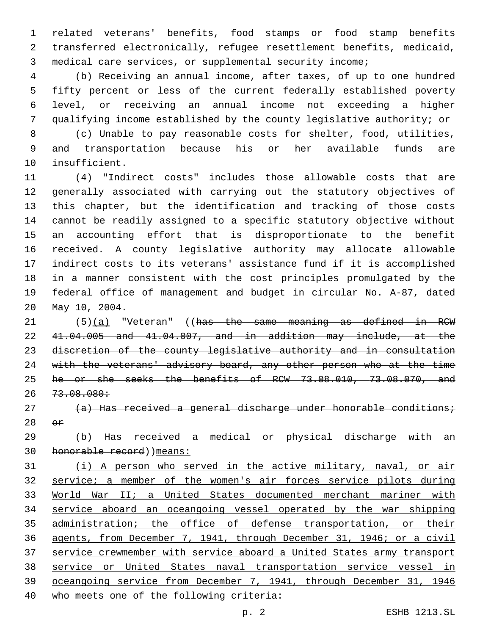related veterans' benefits, food stamps or food stamp benefits transferred electronically, refugee resettlement benefits, medicaid, medical care services, or supplemental security income;

 (b) Receiving an annual income, after taxes, of up to one hundred fifty percent or less of the current federally established poverty level, or receiving an annual income not exceeding a higher qualifying income established by the county legislative authority; or

 (c) Unable to pay reasonable costs for shelter, food, utilities, and transportation because his or her available funds are 10 insufficient.

 (4) "Indirect costs" includes those allowable costs that are generally associated with carrying out the statutory objectives of this chapter, but the identification and tracking of those costs cannot be readily assigned to a specific statutory objective without an accounting effort that is disproportionate to the benefit received. A county legislative authority may allocate allowable indirect costs to its veterans' assistance fund if it is accomplished in a manner consistent with the cost principles promulgated by the federal office of management and budget in circular No. A-87, dated 20 May 10, 2004.

 (5)(a) "Veteran" ((has the same meaning as defined in RCW 41.04.005 and 41.04.007, and in addition may include, at the discretion of the county legislative authority and in consultation with the veterans' advisory board, any other person who at the time he or she seeks the benefits of RCW 73.08.010, 73.08.070, and  $26 \quad 73.08.080 \div$ 

- 27 (a) Has received a general discharge under honorable conditions;  $\sigma$   $\tau$
- (b) Has received a medical or physical discharge with an honorable record))means:

 (i) A person who served in the active military, naval, or air service; a member of the women's air forces service pilots during World War II; a United States documented merchant mariner with service aboard an oceangoing vessel operated by the war shipping 35 administration; the office of defense transportation, or their agents, from December 7, 1941, through December 31, 1946; or a civil service crewmember with service aboard a United States army transport service or United States naval transportation service vessel in oceangoing service from December 7, 1941, through December 31, 1946 who meets one of the following criteria: